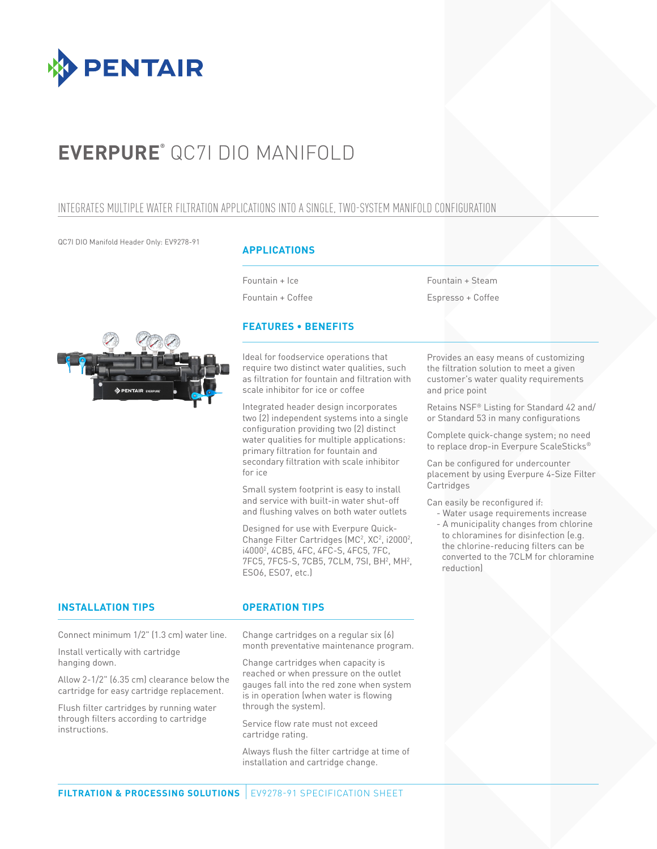

# **EVERPURE®** QC7I DIO MANIFOLD

## INTEGRATES MULTIPLE WATER FILTRATION APPLICATIONS INTO A SINGLE, TWO-SYSTEM MANIFOLD CONFIGURATION

QC7I DIO Manifold Header Only: EV9278-91

### **APPLICATIONS**

Fountain + Ice Fountain + Coffee

Fountain + Steam Espresso + Coffee



### **FEATURES • BENEFITS**

Ideal for foodservice operations that require two distinct water qualities, such as filtration for fountain and filtration with scale inhibitor for ice or coffee

Integrated header design incorporates two (2) independent systems into a single configuration providing two (2) distinct water qualities for multiple applications: primary filtration for fountain and secondary filtration with scale inhibitor for ice

Small system footprint is easy to install and service with built-in water shut-off and flushing valves on both water outlets

Designed for use with Everpure Quick-Change Filter Cartridges (MC<sup>2</sup>, XC<sup>2</sup>, i2000<sup>2</sup>, i40002 , 4CB5, 4FC, 4FC-S, 4FC5, 7FC, 7FC5, 7FC5-S, 7CB5, 7CLM, 7SI, BH<sup>2</sup>, MH<sup>2</sup>, ESO6, ESO7, etc.)

Provides an easy means of customizing the filtration solution to meet a given customer's water quality requirements and price point

Retains NSF® Listing for Standard 42 and/ or Standard 53 in many configurations

Complete quick-change system; no need to replace drop-in Everpure ScaleSticks®

Can be configured for undercounter placement by using Everpure 4-Size Filter Cartridges

Can easily be reconfigured if:

- Water usage requirements increase - A municipality changes from chlorine to chloramines for disinfection (e.g. the chlorine-reducing filters can be converted to the 7CLM for chloramine reduction)

#### **INSTALLATION TIPS OPERATION TIPS**

hanging down.

instructions.

Install vertically with cartridge

Allow 2-1/2" (6.35 cm) clearance below the cartridge for easy cartridge replacement. Flush filter cartridges by running water through filters according to cartridge

Connect minimum 1/2" (1.3 cm) water line. Change cartridges on a regular six (6) month preventative maintenance program.

> Change cartridges when capacity is reached or when pressure on the outlet gauges fall into the red zone when system is in operation (when water is flowing through the system).

Service flow rate must not exceed cartridge rating.

Always flush the filter cartridge at time of installation and cartridge change.